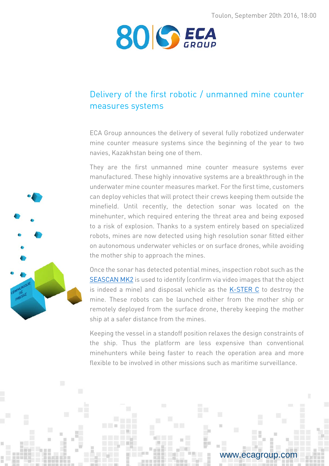

# Delivery of the first robotic / unmanned mine counter measures systems

ECA Group announces the delivery of several fully robotized underwater mine counter measure systems since the beginning of the year to two navies, Kazakhstan being one of them.

They are the first unmanned mine counter measure systems ever manufactured. These highly innovative systems are a breakthrough in the underwater mine counter measures market. For the first time, customers can deploy vehicles that will protect their crews keeping them outside the minefield. Until recently, the detection sonar was located on the minehunter, which required entering the threat area and being exposed to a risk of explosion. Thanks to a system entirely based on specialized robots, mines are now detected using high resolution sonar fitted either on autonomous underwater vehicles or on surface drones, while avoiding the mother ship to approach the mines.

Once the sonar has detected potential mines, inspection robot such as the [SEASCAN MK2](http://www.ecagroup.com/en/solutions/Seascan-MK2) is used to identify (confirm via video images that the object is indeed a mine) and disposal vehicle as the [K-STER C](http://www.ecagroup.com/en/solutions/k-ster-c) to destroy the mine. These robots can be launched either from the mother ship or remotely deployed from the surface drone, thereby keeping the mother ship at a safer distance from the mines.

Keeping the vessel in a standoff position relaxes the design constraints of the ship. Thus the platform are less expensive than conventional minehunters while being faster to reach the operation area and more flexible to be involved in other missions such as maritime surveillance.

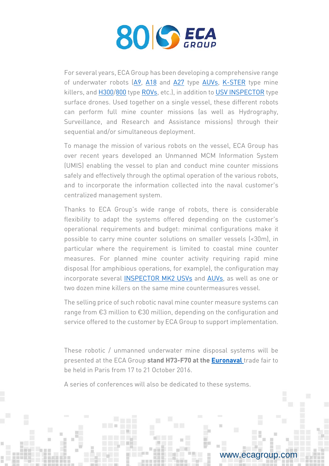

For several years, ECA Group has been developing a comprehensive range of underwater robots [\(A9,](http://www.ecagroup.com/search-result/A9) [A18](http://www.ecagroup.com/search-result/A18) and [A27](http://www.ecagroup.com/search-result/A27) type [AUVs,](http://www.ecagroup.com/en/find-your-eca-solutions/auv) [K-STER](http://www.ecagroup.com/en/solutions/k-ster-c) type mine killers, and [H300](http://www.ecagroup.com/en/solutions/h300-sur-rov-remotely-operated-vehicle)[/800](http://www.ecagroup.com/en/solutions/h800-sur-rov-remotely-operated-vehicle) type [ROVs,](http://www.ecagroup.com/en/find-your-eca-solutions/rov) etc.), in addition to [USV INSPECTOR](http://www.ecagroup.com/en/find-your-eca-solutions/usv) type surface drones. Used together on a single vessel, these different robots can perform full mine counter missions (as well as Hydrography, Surveillance, and Research and Assistance missions) through their sequential and/or simultaneous deployment.

To manage the mission of various robots on the vessel, ECA Group has over recent years developed an Unmanned MCM Information System (UMIS) enabling the vessel to plan and conduct mine counter missions safely and effectively through the optimal operation of the various robots, and to incorporate the information collected into the naval customer's centralized management system.

Thanks to ECA Group's wide range of robots, there is considerable flexibility to adapt the systems offered depending on the customer's operational requirements and budget: minimal configurations make it possible to carry mine counter solutions on smaller vessels (<30m), in particular where the requirement is limited to coastal mine counter measures. For planned mine counter activity requiring rapid mine disposal (for amphibious operations, for example), the configuration may incorporate several [INSPECTOR MK2 USVs](http://www.ecagroup.com/en/solutions/usv-mine-identification-and-neutralization) and AUVs, as well as one or two dozen mine killers on the same mine countermeasures vessel.

The selling price of such robotic naval mine counter measure systems can range from €3 million to €30 million, depending on the configuration and service offered to the customer by ECA Group to support implementation.

These robotic / unmanned underwater mine disposal systems will be presented at the ECA Group **stand H73-F70 at the [Euronaval](http://www.euronaval.fr/9-visitors)** trade fair to be held in Paris from 17 to 21 October 2016.

A series of conferences will also be dedicated to these systems.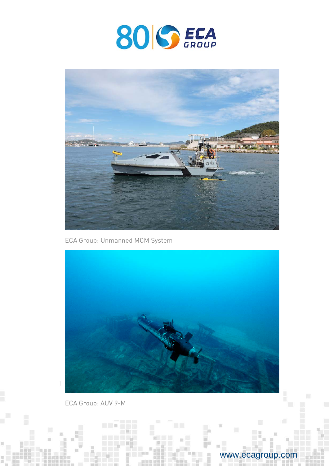



ECA Group: Unmanned MCM System



ECA Group: AUV 9-M

 $\Box$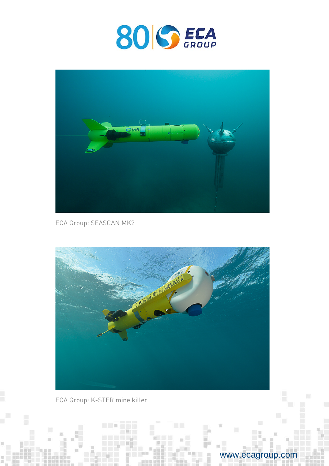



ECA Group: SEASCAN MK2



ECA Group: K-STER mine killer

 $\Box$